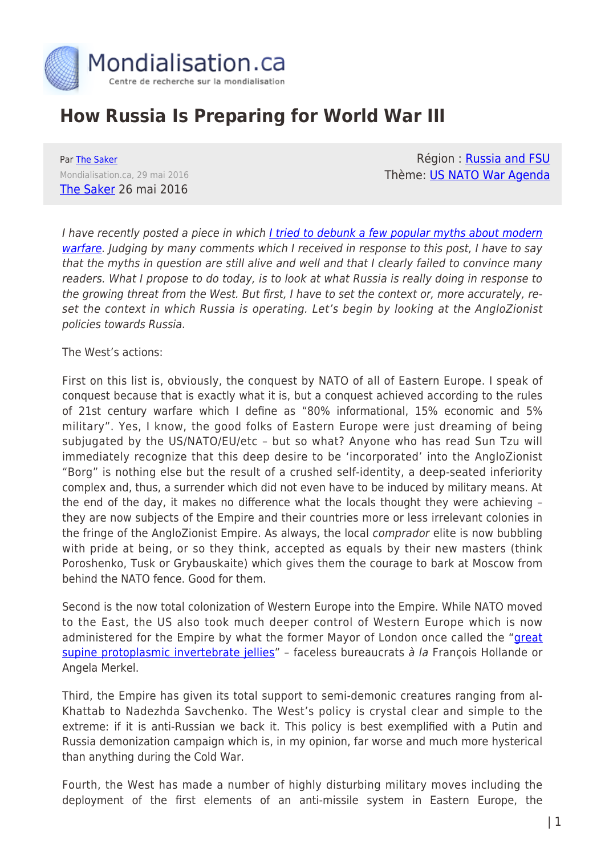

## **How Russia Is Preparing for World War III**

Par [The Saker](https://www.mondialisation.ca/author/the-saker) Mondialisation.ca, 29 mai 2016 [The Saker](http://thesaker.is/how-russia-is-preparing-for-wwiii/) 26 mai 2016

Région: [Russia and FSU](https://www.mondialisation.ca/region/russia-and-fsu) Thème: [US NATO War Agenda](https://www.mondialisation.ca/theme/us-nato-war-agenda)

I have recently posted a piece in which [I tried to debunk a few popular myths about modern](http://thesaker.is/debunking-popular-cliches-about-modern-warfare/) [warfare](http://thesaker.is/debunking-popular-cliches-about-modern-warfare/). Judging by many comments which I received in response to this post, I have to say that the myths in question are still alive and well and that I clearly failed to convince many readers. What I propose to do today, is to look at what Russia is really doing in response to the growing threat from the West. But first, I have to set the context or, more accurately, reset the context in which Russia is operating. Let's begin by looking at the AngloZionist policies towards Russia.

The West's actions:

First on this list is, obviously, the conquest by NATO of all of Eastern Europe. I speak of conquest because that is exactly what it is, but a conquest achieved according to the rules of 21st century warfare which I define as "80% informational, 15% economic and 5% military". Yes, I know, the good folks of Eastern Europe were just dreaming of being subjugated by the US/NATO/EU/etc – but so what? Anyone who has read Sun Tzu will immediately recognize that this deep desire to be 'incorporated' into the AngloZionist "Borg" is nothing else but the result of a crushed self-identity, a deep-seated inferiority complex and, thus, a surrender which did not even have to be induced by military means. At the end of the day, it makes no difference what the locals thought they were achieving – they are now subjects of the Empire and their countries more or less irrelevant colonies in the fringe of the AngloZionist Empire. As always, the local comprador elite is now bubbling with pride at being, or so they think, accepted as equals by their new masters (think Poroshenko, Tusk or Grybauskaite) which gives them the courage to bark at Moscow from behind the NATO fence. Good for them.

Second is the now total colonization of Western Europe into the Empire. While NATO moved to the East, the US also took much deeper control of Western Europe which is now administered for the Empire by what the former Mayor of London once called the "[great](https://www.youtube.com/watch?v=LI5oRTL-6rA) [supine protoplasmic invertebrate jellies](https://www.youtube.com/watch?v=LI5oRTL-6rA)" - faceless bureaucrats à la François Hollande or Angela Merkel.

Third, the Empire has given its total support to semi-demonic creatures ranging from al-Khattab to Nadezhda Savchenko. The West's policy is crystal clear and simple to the extreme: if it is anti-Russian we back it. This policy is best exemplified with a Putin and Russia demonization campaign which is, in my opinion, far worse and much more hysterical than anything during the Cold War.

Fourth, the West has made a number of highly disturbing military moves including the deployment of the first elements of an anti-missile system in Eastern Europe, the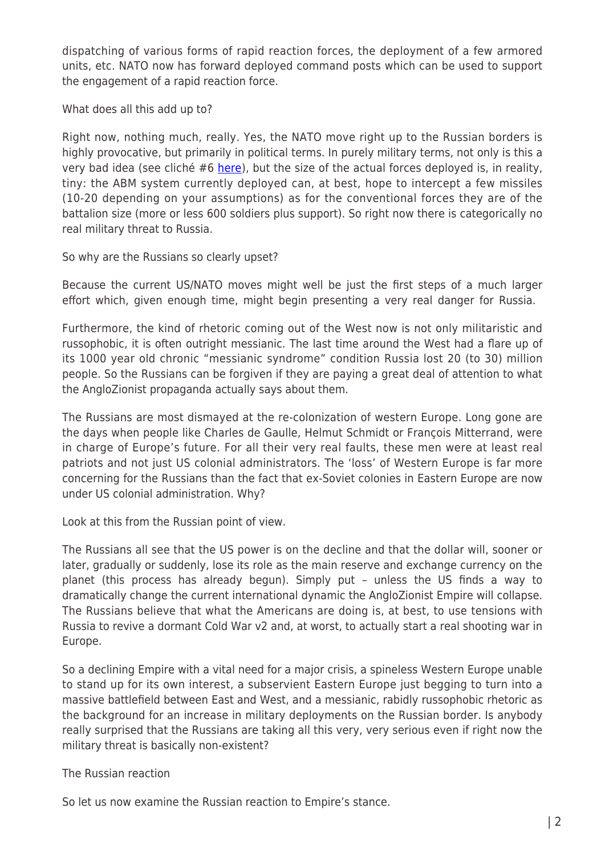dispatching of various forms of rapid reaction forces, the deployment of a few armored units, etc. NATO now has forward deployed command posts which can be used to support the engagement of a rapid reaction force.

What does all this add up to?

Right now, nothing much, really. Yes, the NATO move right up to the Russian borders is highly provocative, but primarily in political terms. In purely military terms, not only is this a very bad idea (see cliché #6 [here\)](http://thesaker.is/debunking-popular-cliches-about-modern-warfare/), but the size of the actual forces deployed is, in reality, tiny: the ABM system currently deployed can, at best, hope to intercept a few missiles (10-20 depending on your assumptions) as for the conventional forces they are of the battalion size (more or less 600 soldiers plus support). So right now there is categorically no real military threat to Russia.

So why are the Russians so clearly upset?

Because the current US/NATO moves might well be just the first steps of a much larger effort which, given enough time, might begin presenting a very real danger for Russia.

Furthermore, the kind of rhetoric coming out of the West now is not only militaristic and russophobic, it is often outright messianic. The last time around the West had a flare up of its 1000 year old chronic "messianic syndrome" condition Russia lost 20 (to 30) million people. So the Russians can be forgiven if they are paying a great deal of attention to what the AngloZionist propaganda actually says about them.

The Russians are most dismayed at the re-colonization of western Europe. Long gone are the days when people like Charles de Gaulle, Helmut Schmidt or François Mitterrand, were in charge of Europe's future. For all their very real faults, these men were at least real patriots and not just US colonial administrators. The 'loss' of Western Europe is far more concerning for the Russians than the fact that ex-Soviet colonies in Eastern Europe are now under US colonial administration. Why?

Look at this from the Russian point of view.

The Russians all see that the US power is on the decline and that the dollar will, sooner or later, gradually or suddenly, lose its role as the main reserve and exchange currency on the planet (this process has already begun). Simply put – unless the US finds a way to dramatically change the current international dynamic the AngloZionist Empire will collapse. The Russians believe that what the Americans are doing is, at best, to use tensions with Russia to revive a dormant Cold War v2 and, at worst, to actually start a real shooting war in Europe.

So a declining Empire with a vital need for a major crisis, a spineless Western Europe unable to stand up for its own interest, a subservient Eastern Europe just begging to turn into a massive battlefield between East and West, and a messianic, rabidly russophobic rhetoric as the background for an increase in military deployments on the Russian border. Is anybody really surprised that the Russians are taking all this very, very serious even if right now the military threat is basically non-existent?

The Russian reaction

So let us now examine the Russian reaction to Empire's stance.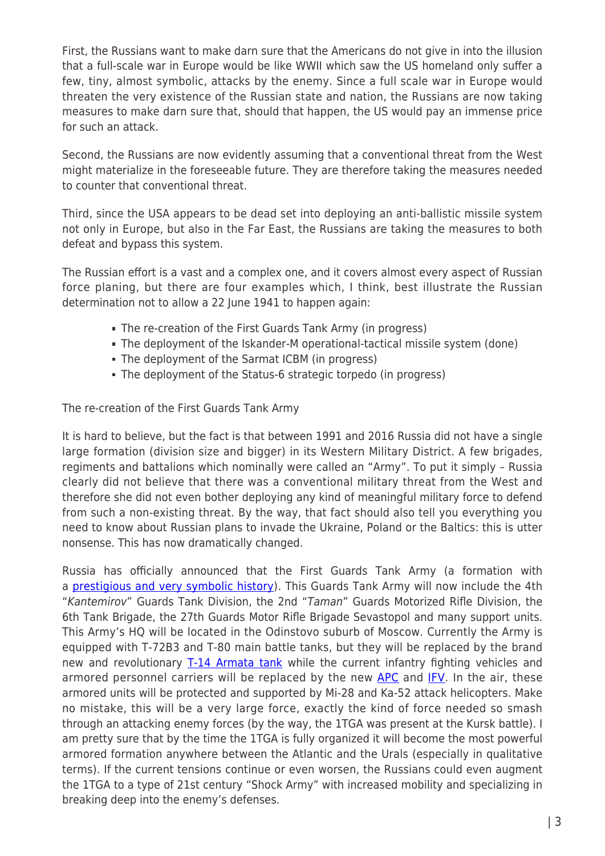First, the Russians want to make darn sure that the Americans do not give in into the illusion that a full-scale war in Europe would be like WWII which saw the US homeland only suffer a few, tiny, almost symbolic, attacks by the enemy. Since a full scale war in Europe would threaten the very existence of the Russian state and nation, the Russians are now taking measures to make darn sure that, should that happen, the US would pay an immense price for such an attack.

Second, the Russians are now evidently assuming that a conventional threat from the West might materialize in the foreseeable future. They are therefore taking the measures needed to counter that conventional threat.

Third, since the USA appears to be dead set into deploying an anti-ballistic missile system not only in Europe, but also in the Far East, the Russians are taking the measures to both defeat and bypass this system.

The Russian effort is a vast and a complex one, and it covers almost every aspect of Russian force planing, but there are four examples which, I think, best illustrate the Russian determination not to allow a 22 June 1941 to happen again:

- The re-creation of the First Guards Tank Army (in progress)
- The deployment of the Iskander-M operational-tactical missile system (done)
- The deployment of the Sarmat ICBM (in progress)
- The deployment of the Status-6 strategic torpedo (in progress)

The re-creation of the First Guards Tank Army

It is hard to believe, but the fact is that between 1991 and 2016 Russia did not have a single large formation (division size and bigger) in its Western Military District. A few brigades, regiments and battalions which nominally were called an "Army". To put it simply – Russia clearly did not believe that there was a conventional military threat from the West and therefore she did not even bother deploying any kind of meaningful military force to defend from such a non-existing threat. By the way, that fact should also tell you everything you need to know about Russian plans to invade the Ukraine, Poland or the Baltics: this is utter nonsense. This has now dramatically changed.

Russia has officially announced that the First Guards Tank Army (a formation with a [prestigious and very symbolic history\)](https://en.wikipedia.org/wiki/1st_Guards_Tank_Army_(Soviet_Union)). This Guards Tank Army will now include the 4th "Kantemirov" Guards Tank Division, the 2nd "Taman" Guards Motorized Rifle Division, the 6th Tank Brigade, the 27th Guards Motor Rifle Brigade Sevastopol and many support units. This Army's HQ will be located in the Odinstovo suburb of Moscow. Currently the Army is equipped with T-72B3 and T-80 main battle tanks, but they will be replaced by the brand new and revolutionary [T-14 Armata tank](http://taskandpurpose.com/why-russias-new-tanks-are-a-wake-up-call-for-the-us/) while the current infantry fighting vehicles and armored personnel carriers will be replaced by the new [APC](https://en.wikipedia.org/wiki/Bumerang) and [IFV](https://en.wikipedia.org/wiki/Kurganets-25). In the air, these armored units will be protected and supported by Mi-28 and Ka-52 attack helicopters. Make no mistake, this will be a very large force, exactly the kind of force needed so smash through an attacking enemy forces (by the way, the 1TGA was present at the Kursk battle). I am pretty sure that by the time the 1TGA is fully organized it will become the most powerful armored formation anywhere between the Atlantic and the Urals (especially in qualitative terms). If the current tensions continue or even worsen, the Russians could even augment the 1TGA to a type of 21st century "Shock Army" with increased mobility and specializing in breaking deep into the enemy's defenses.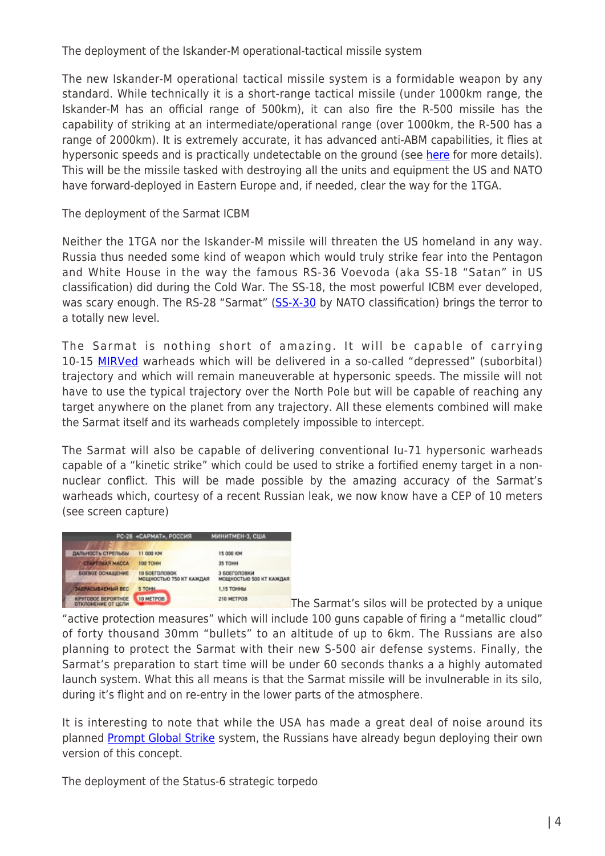The deployment of the Iskander-M operational-tactical missile system

The new Iskander-M operational tactical missile system is a formidable weapon by any standard. While technically it is a short-range tactical missile (under 1000km range, the Iskander-M has an official range of 500km), it can also fire the R-500 missile has the capability of striking at an intermediate/operational range (over 1000km, the R-500 has a range of 2000km). It is extremely accurate, it has advanced anti-ABM capabilities, it flies at hypersonic speeds and is practically undetectable on the ground (see [here](https://en.wikipedia.org/wiki/9K720_Iskander) for more details). This will be the missile tasked with destroying all the units and equipment the US and NATO have forward-deployed in Eastern Europe and, if needed, clear the way for the 1TGA.

The deployment of the Sarmat ICBM

Neither the 1TGA nor the Iskander-M missile will threaten the US homeland in any way. Russia thus needed some kind of weapon which would truly strike fear into the Pentagon and White House in the way the famous RS-36 Voevoda (aka SS-18 "Satan" in US classification) did during the Cold War. The SS-18, the most powerful ICBM ever developed, was scary enough. The RS-28 "Sarmat" [\(SS-X-30](https://en.wikipedia.org/wiki/RS-28_Sarmat) by NATO classification) brings the terror to a totally new level.

The Sarmat is nothing short of amazing. It will be capable of carrying 10-15 [MIRVed](https://en.wikipedia.org/wiki/Multiple_independently_targetable_reentry_vehicle) warheads which will be delivered in a so-called "depressed" (suborbital) trajectory and which will remain maneuverable at hypersonic speeds. The missile will not have to use the typical trajectory over the North Pole but will be capable of reaching any target anywhere on the planet from any trajectory. All these elements combined will make the Sarmat itself and its warheads completely impossible to intercept.

The Sarmat will also be capable of delivering conventional Iu-71 hypersonic warheads capable of a "kinetic strike" which could be used to strike a fortified enemy target in a nonnuclear conflict. This will be made possible by the amazing accuracy of the Sarmat's warheads which, courtesy of a recent Russian leak, we now know have a CEP of 10 meters (see screen capture)



The Sarmat's silos will be protected by a unique "active protection measures" which will include 100 guns capable of firing a "metallic cloud" of forty thousand 30mm "bullets" to an altitude of up to 6km. The Russians are also planning to protect the Sarmat with their new S-500 air defense systems. Finally, the Sarmat's preparation to start time will be under 60 seconds thanks a a highly automated launch system. What this all means is that the Sarmat missile will be invulnerable in its silo, during it's flight and on re-entry in the lower parts of the atmosphere.

It is interesting to note that while the USA has made a great deal of noise around its planned [Prompt Global Strike](https://en.wikipedia.org/wiki/Prompt_Global_Strike) system, the Russians have already begun deploying their own version of this concept.

The deployment of the Status-6 strategic torpedo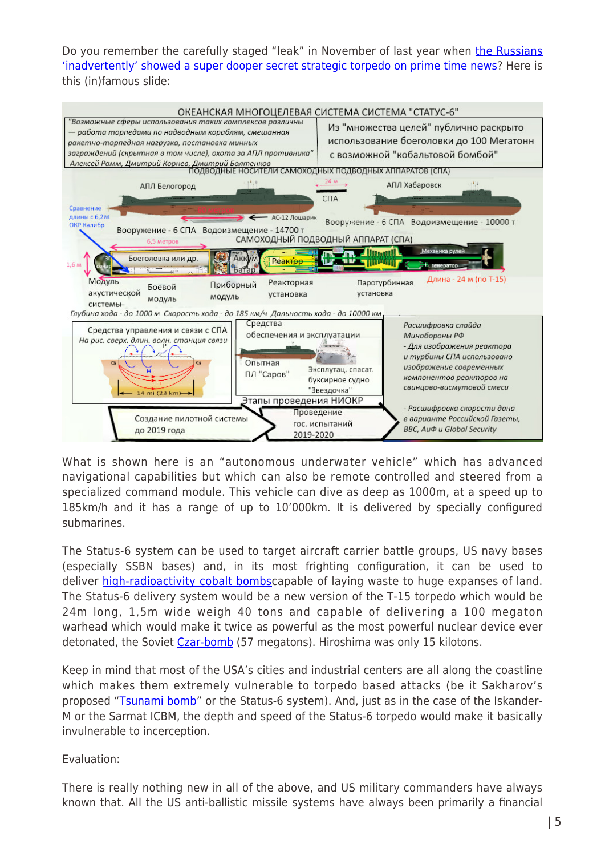Do you remember the carefully staged "leak" in November of last year when [the Russians](http://thesaker.is/did-russia-just-gently-threaten-the-usa/) ['inadvertently' showed a super dooper secret strategic torpedo on prime time news?](http://thesaker.is/did-russia-just-gently-threaten-the-usa/) Here is this (in)famous slide:



What is shown here is an "autonomous underwater vehicle" which has advanced navigational capabilities but which can also be remote controlled and steered from a specialized command module. This vehicle can dive as deep as 1000m, at a speed up to 185km/h and it has a range of up to 10'000km. It is delivered by specially configured submarines.

The Status-6 system can be used to target aircraft carrier battle groups, US navy bases (especially SSBN bases) and, in its most frighting configuration, it can be used to deliver [high-radioactivity cobalt bombsc](https://en.wikipedia.org/wiki/Cobalt_bomb)apable of laying waste to huge expanses of land. The Status-6 delivery system would be a new version of the T-15 torpedo which would be 24m long, 1,5m wide weigh 40 tons and capable of delivering a 100 megaton warhead which would make it twice as powerful as the most powerful nuclear device ever detonated, the Soviet [Czar-bomb](https://en.wikipedia.org/wiki/Tsar_Bomba) (57 megatons). Hiroshima was only 15 kilotons.

Keep in mind that most of the USA's cities and industrial centers are all along the coastline which makes them extremely vulnerable to torpedo based attacks (be it Sakharov's proposed "[Tsunami bomb"](https://www.facebook.com/john.bengtson.9/posts/10202519228606552) or the Status-6 system). And, just as in the case of the Iskander-M or the Sarmat ICBM, the depth and speed of the Status-6 torpedo would make it basically invulnerable to incerception.

## Evaluation:

There is really nothing new in all of the above, and US military commanders have always known that. All the US anti-ballistic missile systems have always been primarily a financial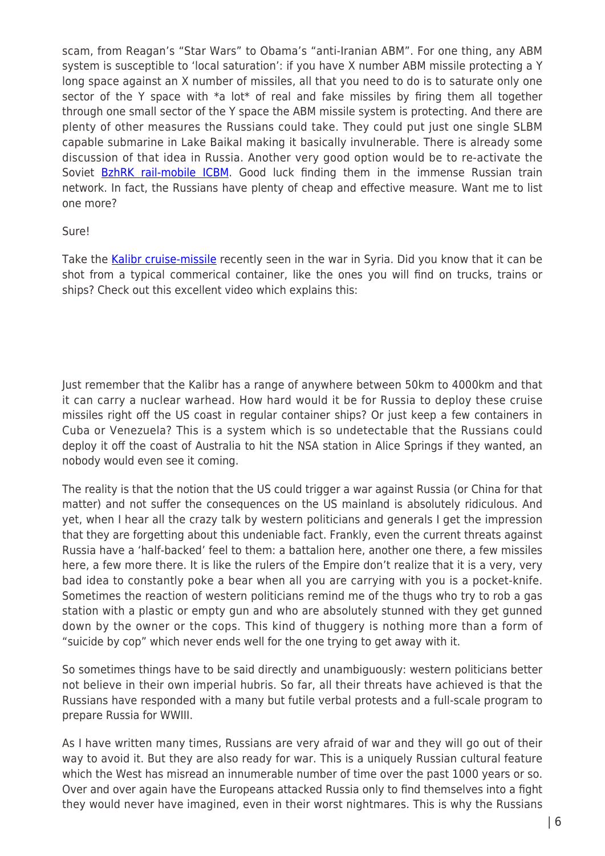scam, from Reagan's "Star Wars" to Obama's "anti-Iranian ABM". For one thing, any ABM system is susceptible to 'local saturation': if you have X number ABM missile protecting a Y long space against an X number of missiles, all that you need to do is to saturate only one sector of the Y space with \*a lot\* of real and fake missiles by firing them all together through one small sector of the Y space the ABM missile system is protecting. And there are plenty of other measures the Russians could take. They could put just one single SLBM capable submarine in Lake Baikal making it basically invulnerable. There is already some discussion of that idea in Russia. Another very good option would be to re-activate the Soviet [BzhRK rail-mobile ICBM](https://en.wikipedia.org/wiki/RT-23_Molodets). Good luck finding them in the immense Russian train network. In fact, the Russians have plenty of cheap and effective measure. Want me to list one more?

## Sure!

Take the [Kalibr cruise-missile](https://en.wikipedia.org/wiki/3M-54_Klub) recently seen in the war in Syria. Did you know that it can be shot from a typical commerical container, like the ones you will find on trucks, trains or ships? Check out this excellent video which explains this:

Just remember that the Kalibr has a range of anywhere between 50km to 4000km and that it can carry a nuclear warhead. How hard would it be for Russia to deploy these cruise missiles right off the US coast in regular container ships? Or just keep a few containers in Cuba or Venezuela? This is a system which is so undetectable that the Russians could deploy it off the coast of Australia to hit the NSA station in Alice Springs if they wanted, an nobody would even see it coming.

The reality is that the notion that the US could trigger a war against Russia (or China for that matter) and not suffer the consequences on the US mainland is absolutely ridiculous. And yet, when I hear all the crazy talk by western politicians and generals I get the impression that they are forgetting about this undeniable fact. Frankly, even the current threats against Russia have a 'half-backed' feel to them: a battalion here, another one there, a few missiles here, a few more there. It is like the rulers of the Empire don't realize that it is a very, very bad idea to constantly poke a bear when all you are carrying with you is a pocket-knife. Sometimes the reaction of western politicians remind me of the thugs who try to rob a gas station with a plastic or empty gun and who are absolutely stunned with they get gunned down by the owner or the cops. This kind of thuggery is nothing more than a form of "suicide by cop" which never ends well for the one trying to get away with it.

So sometimes things have to be said directly and unambiguously: western politicians better not believe in their own imperial hubris. So far, all their threats have achieved is that the Russians have responded with a many but futile verbal protests and a full-scale program to prepare Russia for WWIII.

As I have written many times, Russians are very afraid of war and they will go out of their way to avoid it. But they are also ready for war. This is a uniquely Russian cultural feature which the West has misread an innumerable number of time over the past 1000 years or so. Over and over again have the Europeans attacked Russia only to find themselves into a fight they would never have imagined, even in their worst nightmares. This is why the Russians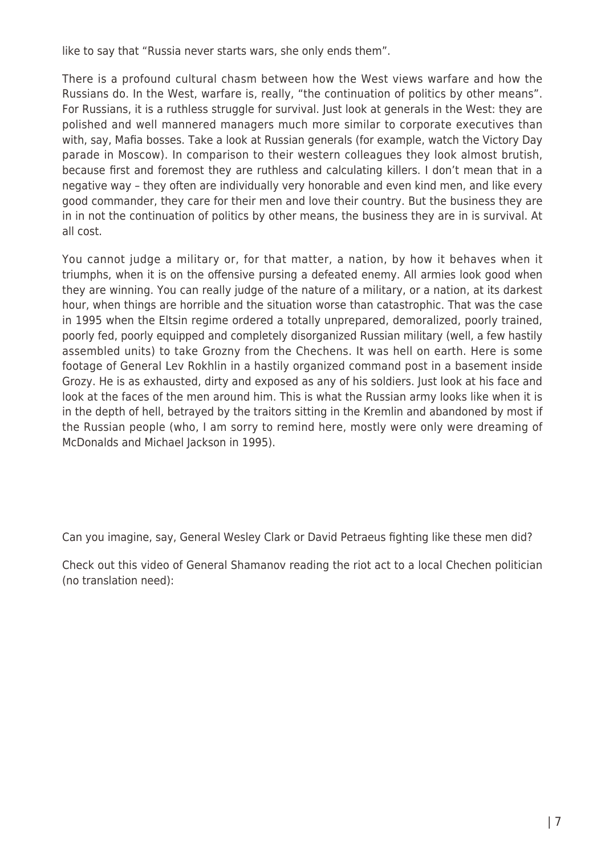like to say that "Russia never starts wars, she only ends them".

There is a profound cultural chasm between how the West views warfare and how the Russians do. In the West, warfare is, really, "the continuation of politics by other means". For Russians, it is a ruthless struggle for survival. Just look at generals in the West: they are polished and well mannered managers much more similar to corporate executives than with, say, Mafia bosses. Take a look at Russian generals (for example, watch the Victory Day parade in Moscow). In comparison to their western colleagues they look almost brutish, because first and foremost they are ruthless and calculating killers. I don't mean that in a negative way – they often are individually very honorable and even kind men, and like every good commander, they care for their men and love their country. But the business they are in in not the continuation of politics by other means, the business they are in is survival. At all cost.

You cannot judge a military or, for that matter, a nation, by how it behaves when it triumphs, when it is on the offensive pursing a defeated enemy. All armies look good when they are winning. You can really judge of the nature of a military, or a nation, at its darkest hour, when things are horrible and the situation worse than catastrophic. That was the case in 1995 when the Eltsin regime ordered a totally unprepared, demoralized, poorly trained, poorly fed, poorly equipped and completely disorganized Russian military (well, a few hastily assembled units) to take Grozny from the Chechens. It was hell on earth. Here is some footage of General Lev Rokhlin in a hastily organized command post in a basement inside Grozy. He is as exhausted, dirty and exposed as any of his soldiers. Just look at his face and look at the faces of the men around him. This is what the Russian army looks like when it is in the depth of hell, betrayed by the traitors sitting in the Kremlin and abandoned by most if the Russian people (who, I am sorry to remind here, mostly were only were dreaming of McDonalds and Michael Jackson in 1995).

Can you imagine, say, General Wesley Clark or David Petraeus fighting like these men did?

Check out this video of General Shamanov reading the riot act to a local Chechen politician (no translation need):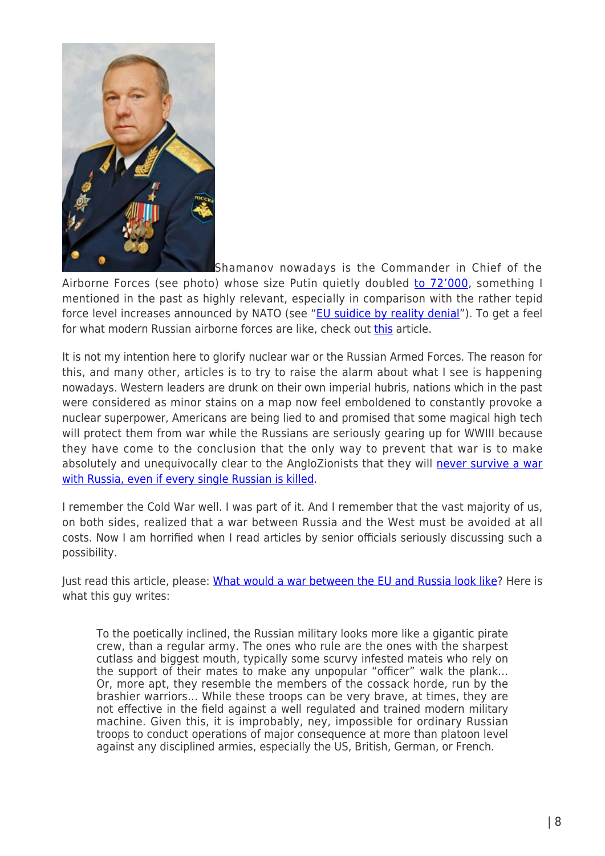

Shamanov nowadays is the Commander in Chief of the Airborne Forces (see photo) whose size Putin quietly doubled [to 72'000](http://www.examiner.com/article/russia-to-double-size-of-airborne-forces-over-the-next-7-years), something I mentioned in the past as highly relevant, especially in comparison with the rather tepid force level increases announced by NATO (see ["EU suidice by reality denial](http://thesaker.is/the-eus-suicide-by-reality-denial/)"). To get a feel for what modern Russian airborne forces are like, check out [this](http://thesaker.is/a-look-into-the-modern-russian-airborne-forces/) article.

It is not my intention here to glorify nuclear war or the Russian Armed Forces. The reason for this, and many other, articles is to try to raise the alarm about what I see is happening nowadays. Western leaders are drunk on their own imperial hubris, nations which in the past were considered as minor stains on a map now feel emboldened to constantly provoke a nuclear superpower, Americans are being lied to and promised that some magical high tech will protect them from war while the Russians are seriously gearing up for WWIII because they have come to the conclusion that the only way to prevent that war is to make absolutely and unequivocally clear to the AngloZionists that they will [never survive a war](http://www.businessinsider.com/a-spherical-bunker-in-russia-was-the-most-secure-place-in-the-entire-cold-war-2015-3) [with Russia, even if every single Russian is killed.](http://www.businessinsider.com/a-spherical-bunker-in-russia-was-the-most-secure-place-in-the-entire-cold-war-2015-3)

I remember the Cold War well. I was part of it. And I remember that the vast majority of us, on both sides, realized that a war between Russia and the West must be avoided at all costs. Now I am horrified when I read articles by senior officials seriously discussing such a possibility.

Just read this article, please: [What would a war between the EU and Russia look like?](https://www.quora.com/What-would-a-war-between-the-EU-and-Russia-look-like/answer/Sorin-Adam-Matei-1) Here is what this guy writes:

To the poetically inclined, the Russian military looks more like a gigantic pirate crew, than a regular army. The ones who rule are the ones with the sharpest cutlass and biggest mouth, typically some scurvy infested mateis who rely on the support of their mates to make any unpopular "officer" walk the plank… Or, more apt, they resemble the members of the cossack horde, run by the brashier warriors… While these troops can be very brave, at times, they are not effective in the field against a well regulated and trained modern military machine. Given this, it is improbably, ney, impossible for ordinary Russian troops to conduct operations of major consequence at more than platoon level against any disciplined armies, especially the US, British, German, or French.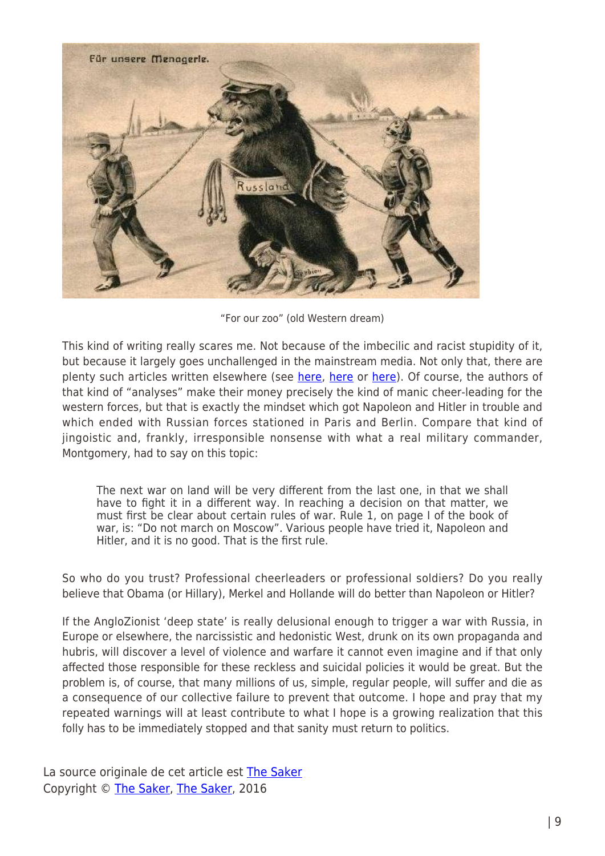

"For our zoo" (old Western dream)

This kind of writing really scares me. Not because of the imbecilic and racist stupidity of it, but because it largely goes unchallenged in the mainstream media. Not only that, there are plenty such articles written elsewhere (see [here,](http://nationalinterest.org/blog/the-buzz/not-so-scary-why-russias-military-paper-tiger-14136) [here](http://www.thefiscaltimes.com/Articles/2014/04/30/Russia-s-Military-Bear-Paper-Tiger) or [here](http://imrussia.org/en/analysis/world/2389-russias-military-is-a-paper-tiger-in-the-baltic)). Of course, the authors of that kind of "analyses" make their money precisely the kind of manic cheer-leading for the western forces, but that is exactly the mindset which got Napoleon and Hitler in trouble and which ended with Russian forces stationed in Paris and Berlin. Compare that kind of jingoistic and, frankly, irresponsible nonsense with what a real military commander, Montgomery, had to say on this topic:

The next war on land will be very different from the last one, in that we shall have to fight it in a different way. In reaching a decision on that matter, we must first be clear about certain rules of war. Rule 1, on page I of the book of war, is: "Do not march on Moscow". Various people have tried it, Napoleon and Hitler, and it is no good. That is the first rule.

So who do you trust? Professional cheerleaders or professional soldiers? Do you really believe that Obama (or Hillary), Merkel and Hollande will do better than Napoleon or Hitler?

If the AngloZionist 'deep state' is really delusional enough to trigger a war with Russia, in Europe or elsewhere, the narcissistic and hedonistic West, drunk on its own propaganda and hubris, will discover a level of violence and warfare it cannot even imagine and if that only affected those responsible for these reckless and suicidal policies it would be great. But the problem is, of course, that many millions of us, simple, regular people, will suffer and die as a consequence of our collective failure to prevent that outcome. I hope and pray that my repeated warnings will at least contribute to what I hope is a growing realization that this folly has to be immediately stopped and that sanity must return to politics.

La source originale de cet article est [The Saker](http://thesaker.is/how-russia-is-preparing-for-wwiii/) Copyright © [The Saker](https://www.mondialisation.ca/author/the-saker), [The Saker](http://thesaker.is/how-russia-is-preparing-for-wwiii/), 2016